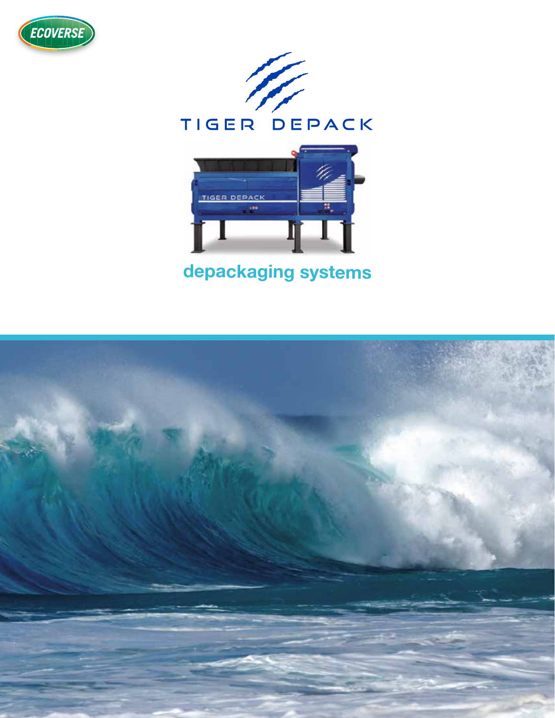





## depackaging systems

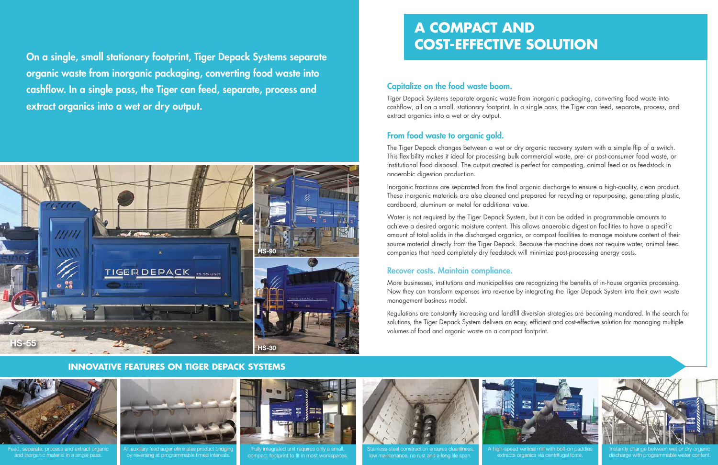On a single, small stationary footprint, Tiger Depack Systems separate organic waste from inorganic packaging, converting food waste into cashflow. In a single pass, the Tiger can feed, separate, process and extract organics into a wet or dry output.

#### Capitalize on the food waste boom.

Tiger Depack Systems separate organic waste from inorganic packaging, converting food waste into cashflow, all on a small, stationary footprint. In a single pass, the Tiger can feed, separate, process, and extract organics into a wet or dry output.

#### From food waste to organic gold.

The Tiger Depack changes between a wet or dry organic recovery system with a simple flip of a switch. This flexibility makes it ideal for processing bulk commercial waste, pre- or post-consumer food waste, or institutional food disposal. The output created is perfect for composting, animal feed or as feedstock in anaerobic digestion production.

Inorganic fractions are separated from the final organic discharge to ensure a high-quality, clean product. These inorganic materials are also cleaned and prepared for recycling or repurposing, generating plastic, cardboard, aluminum or metal for additional value.



Instantly change between wet or dry organic discharge with programmable water conter

A high-speed vertical mill with bolt-on paddles extracts organics via centrifugal force



Fully integrated unit requires only a small, compact footprint to fit in most workspaces





Stainless-steel construction ensures cleanliness, low maintenance, no rust and a long life span.

Water is not required by the Tiger Depack System, but it can be added in programmable amounts to achieve a desired organic moisture content. This allows anaerobic digestion facilities to have a specific amount of total solids in the discharged organics, or compost facilities to manage moisture content of their source material directly from the Tiger Depack. Because the machine does not require water, animal feed companies that need completely dry feedstock will minimize post-processing energy costs.

#### Recover costs. Maintain compliance.

More businesses, institutions and municipalities are recognizing the benefits of in-house organics processing. Now they can transform expenses into revenue by integrating the Tiger Depack System into their own waste management business model.

Regulations are constantly increasing and landfill diversion strategies are becoming mandated. In the search for solutions, the Tiger Depack System delivers an easy, efficient and cost-effective solution for managing multiple volumes of food and organic waste on a compact footprint.



Feed, separate, process and extract organic and inorganic material in a single pass.



An auxiliary feed auger eliminates product bridging by reversing at programmable timed intervals.



#### **INNOVATIVE FEATURES ON TIGER DEPACK SYSTEMS**



# **A COMPACT AND COST-EFFECTIVE SOLUTION**